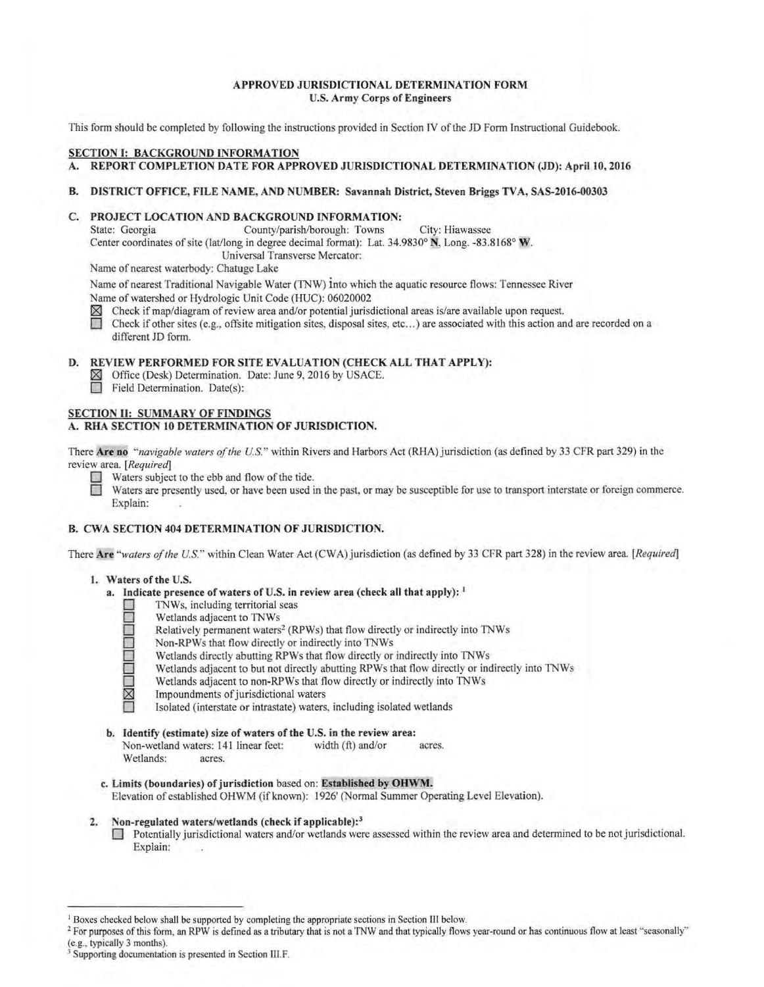### APPROVED JURISDICTIONAL DETERMINATION FORM U.S. Army Corps of Engineers

This form should be completed by following the instructions provided in Section IV of the JD Form Instructional Guidebook.

# SECTION I: BACKGROUND INFORMATION

#### A. REPORT COMPLETION DATE FOR APPROVED JURISDICTIONAL DETERMINATION (JD): April 10, 2016

#### B. DISTRICT OFFICE, FILE NAME, AND NUMBER: Savannah District, Steven Briggs TVA, SAS-2016-00303

#### C. PROJECT LOCATION AND BACKGROUND INFORMATION:

State: Georgia County/parish/borough: Towns City: Hiawassee Center coordinates of site (lat/long in degree decimal format): Lat. 34.9830° N, Long. -83.8168° W. Universal Transverse Mercator:

Name of nearest waterbody: Chatuge Lake

Name of nearest Traditional Navigable Water (TNW) into which the aquatic resource flows: Tennessee River Name of watershed or Hydrologic Unit Code (HUC): 06020002

 $\boxtimes$  Check if map/diagram of review area and/or potential jurisdictional areas is/are available upon request.<br>Check if other sites (e.g., offsite mitigation sites, disposal sites, etc...) are associated with this action

Check if other sites (e.g., offsite mitigation sites, disposal sites, etc...) are associated with this action and are recorded on a different JD form.

#### D. REVIEW PERFORMED FOR SITE EVALUATION (CHECK ALL THAT APPLY):

- $\boxtimes$  Office (Desk) Determination. Date: June 9, 2016 by USACE.<br>
Field Determination. Date(s):
- Field Determination. Date(s):

# SECTION II: SUMMARY OF FINDINGS A. RHA SECTION 10 DETERMINATION OF JURISDICTION.

There Are no "navigable waters of the U.S." within Rivers and Harbors Act (RHA) jurisdiction (as defined by 33 CFR part 329) in the review area. *[Requiredj* 

Waters subject to the ebb and flow of the tide.<br>Waters are presently used, or have been used in

Waters are presently used, or have been used in the past, or may be susceptible for use to transport interstate or foreign commerce. Explain:

# B. CWA SECTION 404 DETERMINATION OF JURISDICTION.

There Are *"waters ofthe U.S."* within Clean Water Act (CWA) jurisdiction (as defined by 33 CFR part 328) in the review area. *[Requiredj* 

#### 1. Waters of the U.S.

# a. Indicate presence of waters of U.S. in review area (check all that apply):  $<sup>1</sup>$ </sup>

- TNWs, including territorial seas<br>
Wetlands adjacent to TNWs<br>
Relatively permanent waters<sup>2</sup> (R<br>
Non-RPWs that flow directly or<br>
Wetlands dijacent to but not directly<br>
Wetlands adjacent to non-RPWs<br>
Metlands adjacent to non
	- Wetlands adjacent to TNWs
	- Relatively permanent waters<sup>2</sup> (RPWs) that flow directly or indirectly into TNWs
	- Non-RPWs that flow directly or indirectly into TNWs
	- Wetlands directly abutting RPWs that flow directly or indirectly into TNWs
	- Wetlands adjacent to but not directly abutting RPWs that flow directly or indirectly into TNWs
	- Wetlands adjacent to non-RPWs that flow directly or indirectly into TNWs
	- Impoundments of jurisdictional waters
		- Isolated (interstate or intrastate) waters, including isolated wetlands
- b. Identify (estimate) size of waters of the U.S. in the review area: Non-wetland waters: 141 linear feet: width (ft) and/or acres. Wetlands: acres.
- c. Limits (boundaries) of jurisdiction based on: Established by OHWM. Elevation ofestablished OHWM (ifknown): 1926' (Normal Summer Operating Level Elevation).
- 2. Non-regulated waters/wetlands (check if applicable):<sup>3</sup>
	- D Potentially jurisdictional waters and/or wetlands were assessed within the review area and determined to be not jurisdictional. Explain:

<sup>&</sup>lt;sup>1</sup> Boxes checked below shall be supported by completing the appropriate sections in Section III below.

<sup>&</sup>lt;sup>2</sup> For purposes of this form, an RPW is defined as a tributary that is not a TNW and that typically flows year-round or has continuous flow at least "seasonally" (e.g., typically 3 months).

Supporting documentation is presented in Section III.F.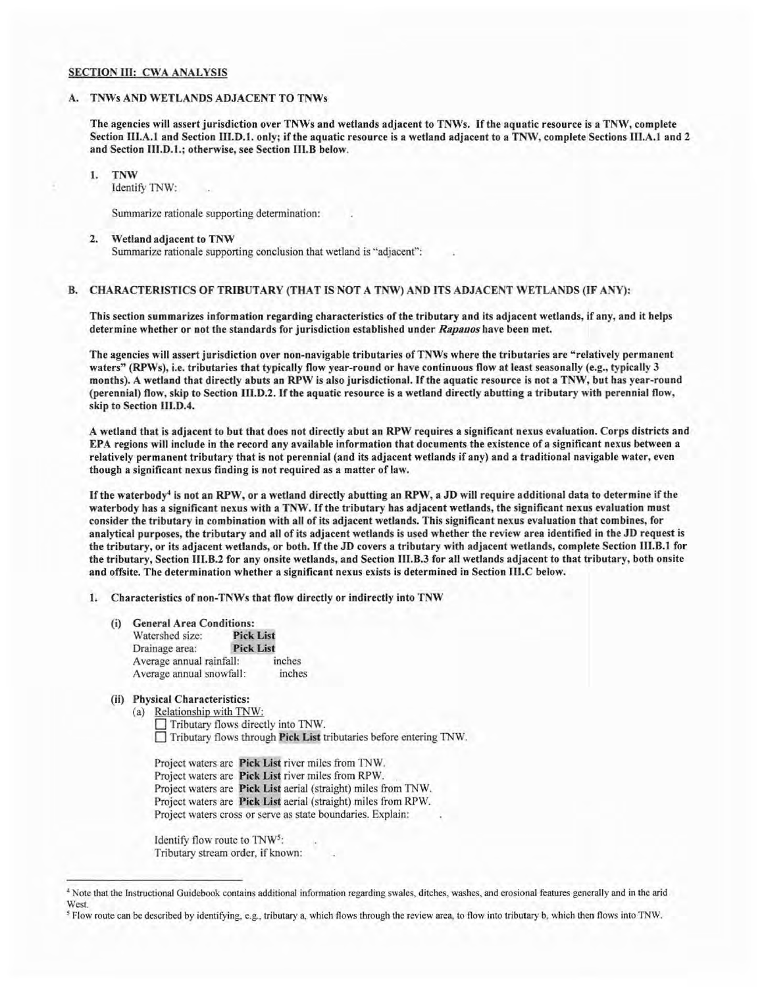#### SECTION III: CWA ANALYSIS

#### A. TNWs AND WETLANDS ADJACENT TO TNWs

The agencies will assert jurisdiction over TNWs and wetlands adjacent to TNWs. Ifthe aquatic resource is a TNW, complete Section III.A.1 and Section III.D.1. only; if the aquatic resource is a wetland adjacent to a TNW, complete Sections III.A.1 and 2 and Section 111.D.1.; otherwise, see Section 111.B below.

1. TNW

Identify TNW:

Summarize rationale supporting determination:

#### 2. Wetland adjacent to TNW

Summarize rationale supporting conclusion that wetland is "adjacent":

#### B. CHARACTERISTICS OF TRIBUTARY (THAT IS NOT A TNW) AND ITS ADJACENT WETLANDS (IF ANY):

This section summarizes information regarding characteristics of the tributary and its adjacent wetlands, if any, and it helps determine whether or not the standards for jurisdiction established under *Rapanos* have been met.

The agencies will assert jurisdiction over non-navigable tributaries ofTNWs where the tributaries are "relatively permanent waters" (RPWs), i.e. tributaries that typically flow year-round or have continuous flow at least seasonally (e.g., typically 3 months). A wetland that directly abuts an RPW is also jurisdictional. Ifthe aquatic resource is not a TNW, but has year-round (perennial) flow, skip to Section 111.D.2. Ifthe aquatic resource is a wetland directly abutting a tributary with perennial flow, skip to Section 111.D.4.

A wetland that is adjacent to but that does not directly abut an RPW requires a significant nexus evaluation. Corps districts and EPA regions will include in the record any available information that documents the existence of a significant nexus between a relatively permanent tributary that is not perennial (and its adjacent wetlands if any) and a traditional navigable water, even though a significant nexus finding is not required as a matter of law.

If the waterbody<sup>4</sup> is not an RPW, or a wetland directly abutting an RPW, a JD will require additional data to determine if the waterbody has a significant nexus with a TNW. Ifthe tributary has adjacent wetlands, the significant nexus evaluation must consider the tributary in combination with all of its adjacent wetlands. This significant nexus evaluation that combines, for analytical purposes, the tributary and all of its adjacent wetlands is used whether the review area identified in the JD request is the tributary, or its adjacent wetlands, or both. If the JD covers a tributary with adjacent wetlands, complete Section III.B.1 for the tributary, Section 111.B.2 for any onsite wetlands, and Section 111.B.3 for all wetlands adjacent to that tributary, both onsite and offsite. The determination whether a significant nexus exists is determined in Section 111.C below.

1. Characteristics of non-TNWs that flow directly or indirectly into TNW

(i) General Area Conditions:

| <b>Pick List</b>                   |
|------------------------------------|
| <b>Pick List</b>                   |
| Average annual rainfall:<br>inches |
| inches<br>Average annual snowfall: |
|                                    |

# (ii) Physical Characteristics:

(a) Relationship with TNW: Tributary flows directly into TNW. Tributary flows through Pick List tributaries before entering TNW.

Project waters are Pick List river miles from TNW. Project waters are Pick List river miles from RPW. Project waters are Pick List aerial (straight) miles from TNW. Project waters are Pick List aerial (straight) miles from RPW. Project waters cross or serve as state boundaries. Explain:

Identify flow route to TNW5: Tributary stream order, if known:

<sup>•</sup> Note that the Instructional Guidebook contains additional information regarding swales, ditches, washes, and erosional features generally and in the arid West.

*s* Flow route can be described by identifying, e.g., tributary a, which flows through the review area, to flow into tributary b, which then flows into TNW.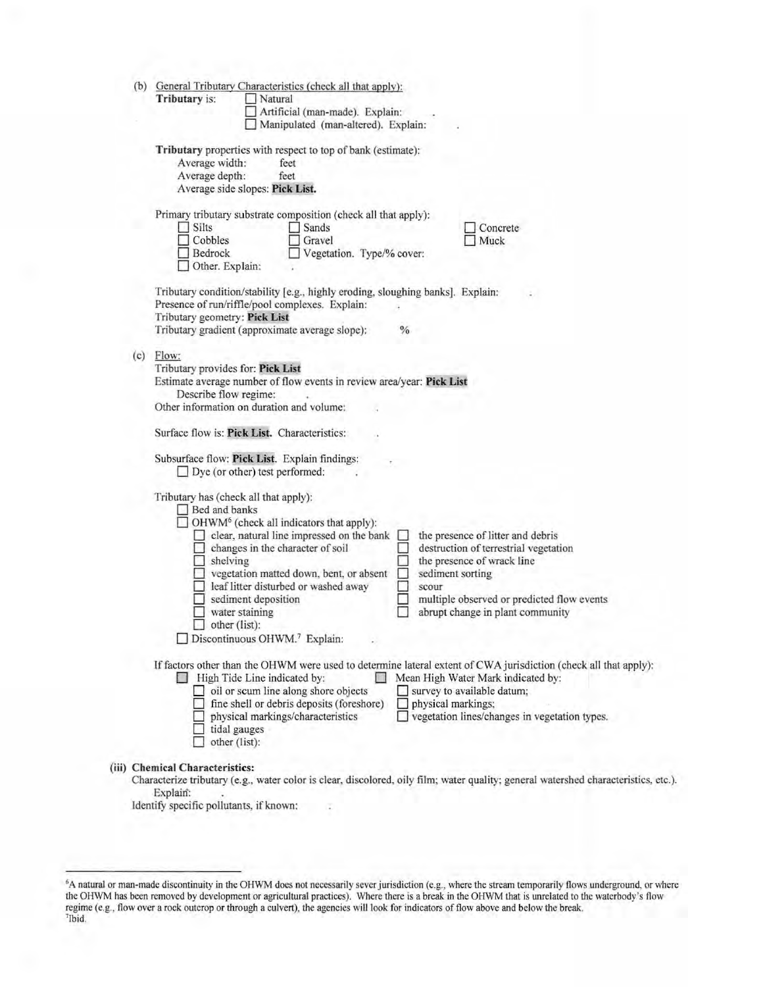|     | Tributary is:<br>Natural<br>Artificial (man-made). Explain:<br>Manipulated (man-altered). Explain:                                                                                                                                                                                                                                                                                                                                                                                                                                                                                                                          |
|-----|-----------------------------------------------------------------------------------------------------------------------------------------------------------------------------------------------------------------------------------------------------------------------------------------------------------------------------------------------------------------------------------------------------------------------------------------------------------------------------------------------------------------------------------------------------------------------------------------------------------------------------|
|     | Tributary properties with respect to top of bank (estimate):<br>Average width:<br>feet<br>Average depth:<br>feet<br>Average side slopes: Pick List.                                                                                                                                                                                                                                                                                                                                                                                                                                                                         |
|     | Primary tributary substrate composition (check all that apply):<br>Silts<br>Sands<br>Concrete<br>Cobbles<br>Gravel<br>Muck<br>Bedrock<br>Vegetation. Type/% cover:<br>Other. Explain:                                                                                                                                                                                                                                                                                                                                                                                                                                       |
|     | Tributary condition/stability [e.g., highly eroding, sloughing banks]. Explain:<br>Presence of run/riffle/pool complexes. Explain:<br>Tributary geometry: Pick List<br>Tributary gradient (approximate average slope):<br>$\%$                                                                                                                                                                                                                                                                                                                                                                                              |
| (c) | Flow:<br>Tributary provides for: Pick List<br>Estimate average number of flow events in review area/year: Pick List<br>Describe flow regime:<br>Other information on duration and volume:                                                                                                                                                                                                                                                                                                                                                                                                                                   |
|     | Surface flow is: Pick List. Characteristics:<br>Subsurface flow: Pick List. Explain findings:<br>□ Dye (or other) test performed:                                                                                                                                                                                                                                                                                                                                                                                                                                                                                           |
|     | Tributary has (check all that apply):<br>Bed and banks<br>OHWM <sup>6</sup> (check all indicators that apply):<br>clear, natural line impressed on the bank<br>the presence of litter and debris<br>changes in the character of soil<br>destruction of terrestrial vegetation<br>the presence of wrack line<br>shelving<br>vegetation matted down, bent, or absent<br>sediment sorting<br>leaf litter disturbed or washed away<br>scour<br>sediment deposition<br>multiple observed or predicted flow events<br>water staining<br>abrupt change in plant community<br>$\Box$ other (list):<br>Discontinuous OHWM.7 Explain: |
|     | If factors other than the OHWM were used to determine lateral extent of CWA jurisdiction (check all that apply):<br>High Tide Line indicated by:<br>Mean High Water Mark indicated by:<br>oil or scum line along shore objects<br>survey to available datum;<br>fine shell or debris deposits (foreshore)<br>physical markings;<br>physical markings/characteristics<br>vegetation lines/changes in vegetation types.<br>tidal gauges                                                                                                                                                                                       |

Identify specific pollutants, if known:

<sup>&</sup>lt;sup>6</sup>A natural or man-made discontinuity in the OHWM does not necessarily sever jurisdiction (e.g., where the stream temporarily flows underground, or where the OHWM has been removed by development or agricultural practices) regime (e.g., flow over a rock outcrop or through a culvert), the agencies will look for indicators of flow above and below the break. 7Jbid.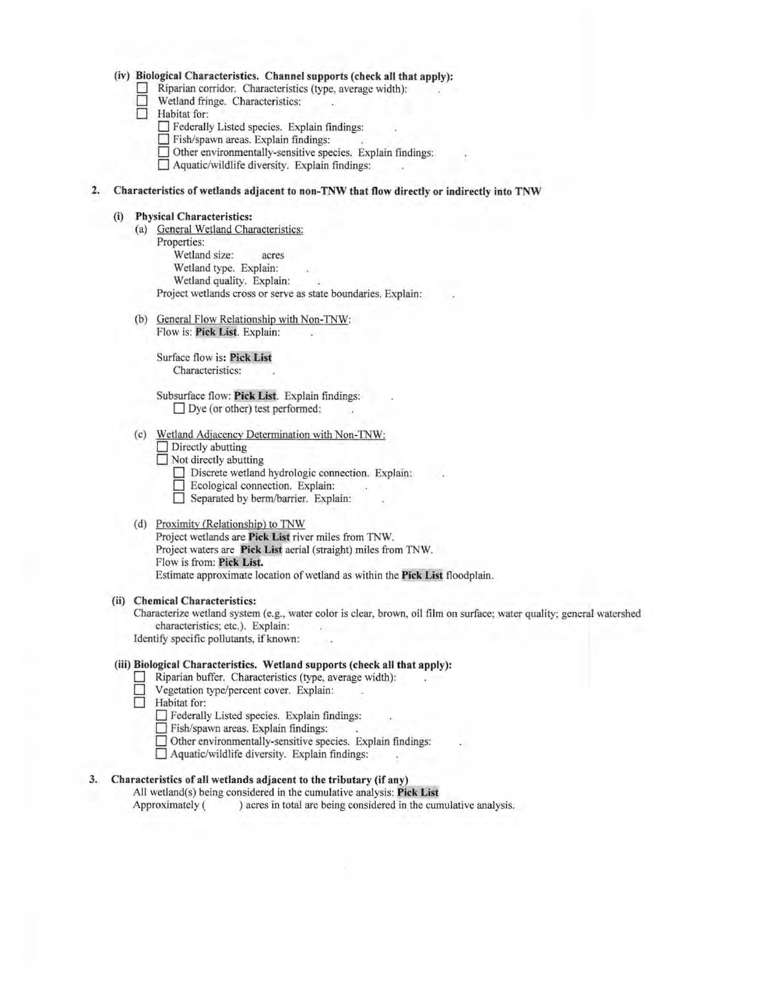# **(iv) Biological Characteristics. Channel supports (check all that apply):**

- 0 Riparian corridor. Characteristics (type, average width):
- **D** Wetland fringe. Characteristics:  $\Box$  Wetland frin<br> $\Box$  Habitat for:
- - **D** Federally Listed species. Explain findings:
	- **0** Fish/spawn areas. Explain findings:
	- $\Box$  Other environmentally-sensitive species. Explain findings:
	- **0** Aquatic/wildlife diversity. Explain findings:

# **2. Characteristics of wetlands adjacent to non-TNW that flow directly or indirectly into TNW**

#### **(i) Physical Characteristics:**

- (a) General Wetland Characteristics:
	- Properties: Wetland size: acres Wetland type. Explain: Wetland quality. Explain: Project wetlands cross or serve as state boundaries. Explain:
- (b) General Flow Relationship with Non-TNW:

Flow is: **Pick List.** Explain:

Surface flow is: Pick List Characteristics:

Subsurface flow: **Pick List.** Explain findings:  $\Box$  Dye (or other) test performed:

#### (c) Wetland Adjacency Determination with Non-TNW:

- **0** Directly abutting
- **D** Not directly abutting
	- □ Discrete wetland hydrologic connection. Explain:<br>□ Ecological connection. Explain:
	-
	- **<u></u> D** Separated by berm/barrier. Explain:

#### (d) Proximity (Relationship) to TNW

Project wetlands are **Pick List** river miles from TNW. Project waters are **Pick List** aerial (straight) miles from TNW. Flow is from: **Pick List.** Estimate approximate location ofwetland as within the **Pick List** floodplain.

#### **(ii) Chemical Characteristics:**

Characterize wetland system (e.g., water color is clear, brown, oil film on surface; water quality; general watershed characteristics; etc.). Explain: Identify specific pollutants, if known:

#### **(iii) Biological Characteristics. Wetland supports (check all that apply):**

- Riparian buffer. Characteristics (type, average width):
- **0** Vegetation type/percent cover. Explain:
- □ **Habitat** for:
	- 0 Federally Listed species. Explain findings:
	- Fish/spawn areas. Explain findings:
	- $\Box$  Other environmentally-sensitive species. Explain findings:
	- **0** Aquatic/wildlife diversity. Explain findings:

# **3. Characteristics of all wetlands adjacent to the tributary (if any)**

All wetland(s) being considered in the cumulative analysis: **Pick List**  Approximately ( ) acres in total are being considered in the cumulative analysis.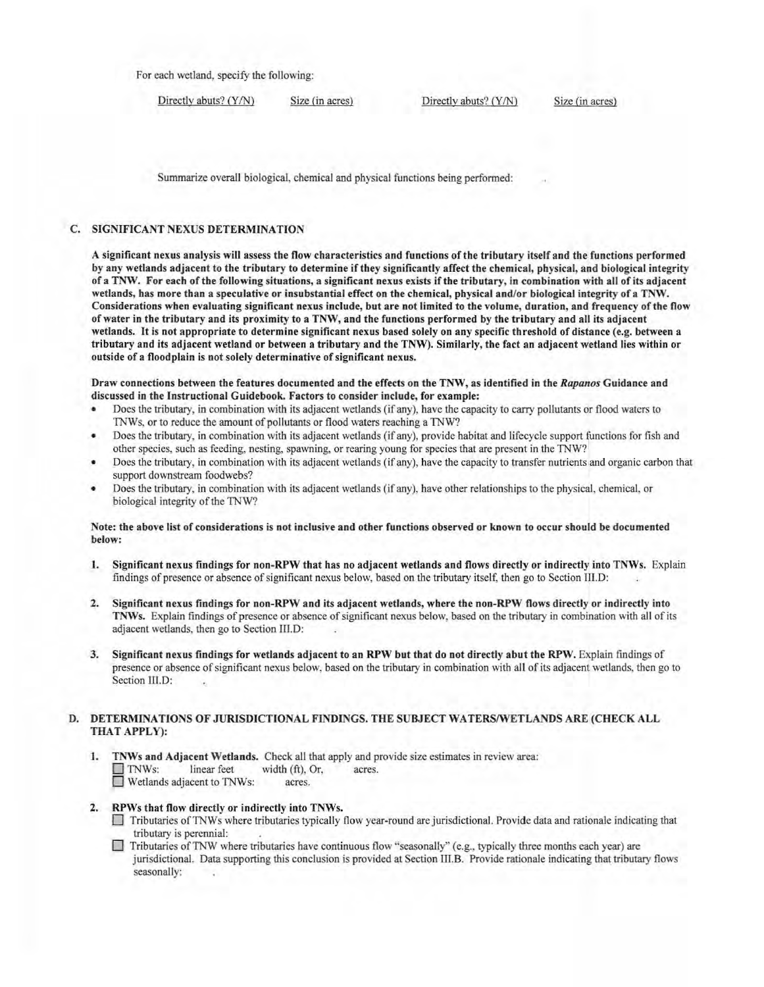For each wetland, specify the following:

Directly abuts? (Y/N) Size (in acres) Directly abuts? (Y/N) Size (in acres)

Summarize overall biological, chemical and physical functions being performed:

# C. SIGNIFICANT NEXUS DETERMINATION

A significant nexus analysis will assess the flow characteristics and functions ofthe tributary itself and the functions performed by any wetlands adjacent to the tributary to determine ifthey significantly affect the chemical, physical, and biological integrity of a TNW. For each ofthe following situations, a significant nexus exists ifthe tributary, in combination with all ofits adjacent wetlands, has more than a speculative or insubstantial effect on the chemical, physical and/or biological integrity of a TNW. Considerations when evaluating significant nexus include, but are not limited to the volume, duration, and frequency of the flow of water in the tributary and its proximity to a TNW, and the functions performed by the tributary and all its adjacent wetlands. It is not appropriate to determine significant nexus based solely on any specific threshold of distance (e.g. between a tributary and its adjacent wetland or between a tributary and the TNW). Similarly, the fact an adjacent wetland lies within or outside of a floodplain is not solely determinative of significant nexus.

Draw connections between the features documented and the effects on the TNW, as identified in the *Rapanos* Guidance and discussed in the Instructional Guidebook. Factors to consider include, for example:

- Does the tributary, in combination with its adjacent wetlands (if any), have the capacity to carry pollutants or flood waters to TNWs, or to reduce the amount of pollutants or flood waters reaching a TNW?
- Does the tributary, in combination with its adjacent wetlands (if any), provide habitat and lifecycle support functions for fish and other species, such as feeding, nesting, spawning, or rearing young for species that are present in the TNW?
- Does the tributary, in combination with its adjacent wetlands (if any), have the capacity to transfer nutrients and organic carbon that support downstream foodwebs?
- Does the tributary, in combination with its adjacent wetlands (if any), have other relationships to the physical, chemical, or biological integrity of the TNW?

#### Note: the above list of considerations is not inclusive and other functions observed or known to occur should be documented below:

- 1. Significant nexus findings for non-RPW that has no adjacent wetlands and flows directly or indirectly into TNWs. Explain findings of presence or absence of significant nexus below, based on the tributary itself, then go to Section III.D:
- 2. Significant nexus findings for non-RPW and its adjacent wetlands, where the non-RPW flows directly or indirectly into TNWs. Explain findings of presence or absence ofsignificant nexus below, based on the tributary in combination with all ofits adjacent wetlands, then go to Section III.D:
- 3. Significant nexus findings for wetlands adjacent to an RPW but that do not directly abut the RPW. Explain findings of presence or absence of significant nexus below, based on the tributary in combination with all of its adjacent wetlands, then go to Section III.D:

#### D. DETERMINATIONS OF JURISDICTIONAL FINDINGS. THE SUBJECT WATERS/WETLANDS ARE (CHECK ALL THAT APPLY):

- 1. TNWs and Adjacent Wetlands. Check all that apply and provide size estimates in review area: TNWs: linear feet width (ft), Or, acres. D Wetlands adjacent to TNWs: acres.
- 2. RPWs that flow directly or indirectly into TNWs.
	- D Tributaries ofTNWs where tributaries typically flow year-round are jurisdictional. Provide data and rationale indicating that tributary is perennial:
	- Tributaries of TNW where tributaries have continuous flow "seasonally" (e.g., typically three months each year) are jurisdictional. Data supporting this conclusion is provided at Section III.B. Provide rationale indicating that tributary flows seasonally: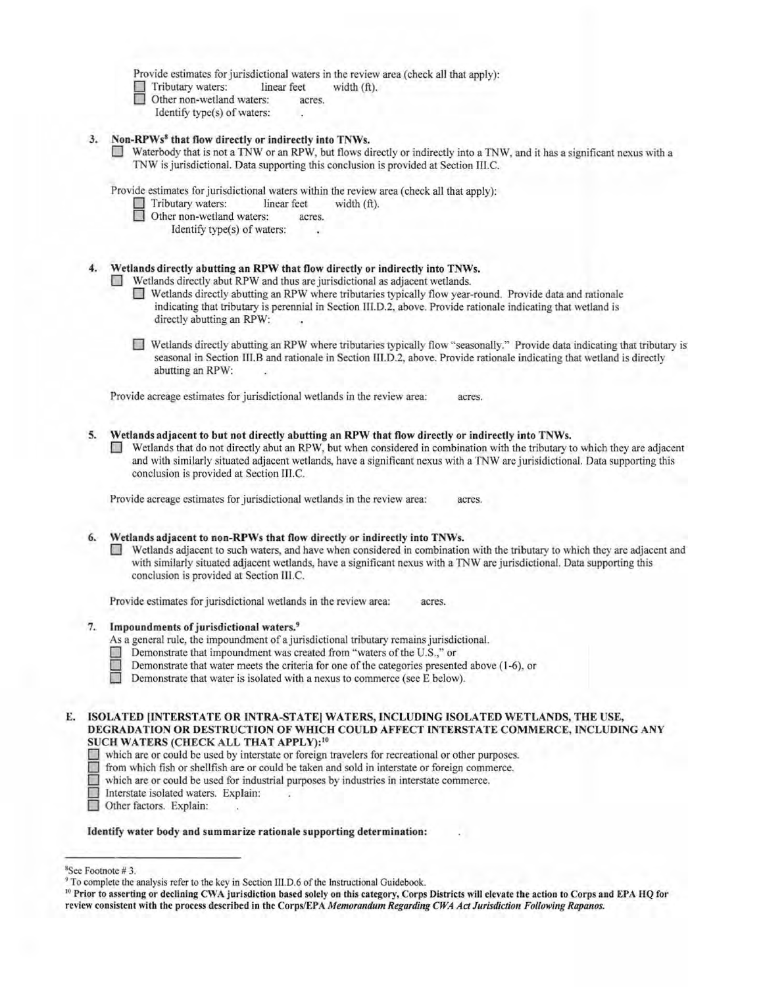Provide estimates for jurisdictional waters in the review area (check all that apply):

 $\Box$  Tributary waters: linear feet width (ft).<br>
Other non-wetland waters: acres.

- $\Box$  Other non-wetland waters:
	- Identify type(s) of waters:

# 3. Non-RPWs<sup>8</sup> that flow directly or indirectly into TNWs.

D Waterbody that is not a TNW or an RPW, but flows directly or indirectly into a TNW, and it has a significant nexus with a TNW is jurisdictional. Data supporting this conclusion is provided at Section III.C.

Provide estimates for jurisdictional waters within the review area (check all that apply):

- Tributary waters: linear feet width (ft).
- Other non-wetland waters: acres.
	- Identify type(s) of waters:

# 4. Wetlands directly abutting an RPW that flow directly or indirectly into TNWs.

- 0 Wetlands directly abut RPW and thus are jurisdictional as adjacent wetlands.
	- 0 Wetlands directly abutting an RPW where tributaries typically flow year-round. Provide data and rationale indicating that tributary is perennial in Section 111.D.2, above. Provide rationale indicating that wetland is directly abutting an RPW:
	- 0 Wetlands directly abutting an RPW where tributaries typically flow " seasonally." Provide data indicating that tributary is seasonal in Section 111.B and rationale in Section 111.D.2, above. Provide rationale indicating that wetland is directly abutting an RPW:

Provide acreage estimates for jurisdictional wetlands in the review area: acres.

- 5. Wetlands adjacent to but not directly abutting an RPW that flow directly or indirectly into TNWs.
	- Wetlands that do not directly abut an RPW, but when considered in combination with the tributary to which they are adjacent and with similarly situated adjacent wetlands, have a significant nexus with a TNW are jurisidictional. Data supporting this conclusion is provided at Section III.C.

Provide acreage estimates for jurisdictional wetlands in the review area: acres.

# 6. Wetlands adjacent to non-RPWs that flow directly or indirectly into TNWs.

Wetlands adjacent to such waters, and have when considered in combination with the tributary to which they are adjacent and with similarly situated adjacent wetlands, have a significant nexus with a TNW are jurisdictional. Data supporting this conclusion is provided at Section 111.C.

Provide estimates for jurisdictional wetlands in the review area: acres.

# 7. Impoundments of jurisdictional waters.<sup>9</sup>

- As a general rule, the impoundment of a jurisdictional tributary remains jurisdictional.
- Demonstrate that impoundment was created from "waters of the U.S.," or
- **Demonstrate that water meets the criteria for one of the categories presented above (1-6), or** Demonstrate that water is isolated with a nexus to commerce (see E below).
	- Demonstrate that water is isolated with a nexus to commerce (see E below).

#### E. ISOLATED (INTERSTATE OR INTRA-STATE) WATERS, INCLUDING ISOLATED WETLANDS, THE USE, DEGRADATION OR DESTRUCTION OF WHICH COULD AFFECT INTERSTATE COMMERCE, INCLUDING ANY SUCH WATERS (CHECK ALL THAT APPLY):<sup>10</sup>

- which are or could be used by interstate or foreign travelers for recreational or other purposes.<br>
The from which fish or shellfish are or could be taken and sold in interstate or foreign commerce.
- from which fish or shellfish are or could be taken and sold in interstate or foreign commerce.
- which are or could be used for industrial purposes by industries in interstate commerce.
- Interstate isolated waters. Explain:
- Other factors. Explain:

#### Identify water body and summarize rationale supporting determination:

<sup>8</sup> See Footnote # 3.

<sup>&</sup>lt;sup>9</sup> To complete the analysis refer to the key in Section III.D.6 of the Instructional Guidebook.

<sup>&</sup>lt;sup>10</sup> Prior to asserting or declining CWA jurisdiction based solely on this category, Corps Districts will elevate the action to Corps and EPA HQ for review consistent with the process described in the Corps/EPA *Memorandum Regarding CWA Act Jurisdiction Following Rapanos.*